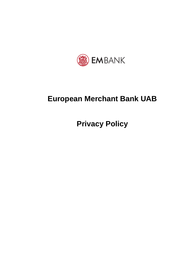

# **European Merchant Bank UAB**

**Privacy Policy**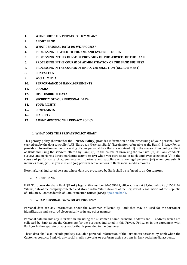- **1. [WHAT DOES THIS PRIVACY POLICY MEAN?](#page-1-0)**
- **2. [ABOUT BANK](#page-1-1)**
- **3. [WHAT PERSONAL DATA DO WE PROCESS?](#page-1-2)**
- **4. [PROCESSING RELATED TO THE AML AND KYC PROCEDURES](#page-2-0)**
- **5. [PROCESSING IN THE COURSE OF PROVISION OF THE SERVICES OF THE BANK](#page-4-0)**
- **6. [PROCESSING IN THE COURSE OF ADMINISTRATION OF THE BANK](#page-7-0) BUSINESS**
- **7. [PROCESSING IN THE COURSE OF EMPLOYEE SELECTION \(RECRUITMENT\)](#page-11-0)**
- **8. [CONTACT US](#page-14-0)**
- **9. [SOCIAL MEDIA](#page-14-1)**
- **10. [PERFORMANCE OF BANK](#page-15-0) AGREEMENTS**
- **11. [COOKIES](#page-15-1)**
- **12. [DISCLOSURE OF DATA](#page-15-2)**
- **13. [SECURITY OF YOUR PERSONAL DATA](#page-16-0)**
- **14. [YOUR RIGHTS](#page-16-1)**
- **15. [COMPLAINTS](#page-17-0)**
- **16. [LIABILITY](#page-17-1)**
- **17. [AMENDMENTS TO THE PRIVACY POLICY](#page-18-0)**

## <span id="page-1-0"></span>**1. WHAT DOES THIS PRIVACY POLICY MEAN?**

This privacy policy (hereinafter the **Privacy Policy**) provides information on the processing of your personal data carried out by the data controller UAB "European Merchant Bank"(hereinafter referred to as the **Bank**). Privacy Policy provides information on the processing of your personal data that are obtained: (i) in the course of becoming a client of Bank and using the services offered by Bank; (ii) in the course of browsing the Website (iii) as Bank conducts surveys and performs direct marketing activities; (iv) when you participate in Bank employee selections; (v) in the course of performance of agreements with partners and suppliers who are legal persons; (vi) when you submit inquiries to us; (vii) as you visit and (or) perform active actions in Bank social media accounts.

<span id="page-1-1"></span>Hereinafter all indicated persons whose data are processed by Bank shall be referred to as **'Customers**'.

### **2. ABOUT BANK**

UAB "European Merchant Bank"(**Bank**), legal entity number 304559043, office address at 35, Gedimino Av., LT-01109 Vilnius, data of the company collected and stored in the Vilnius branch of the Register of Legal Entities of the Republic of Lithuania. Contact details of Data Protection Officer (DPO): dpo@em.bank.

#### <span id="page-1-2"></span>**3. WHAT PERSONAL DATA DO WE PROCESS?**

Personal data are any information about the Customer collected by Bank that may be used for the Customer identification and is stored electronically or in any other manner.

Personal data include any information, including the Customer's name, surname, address and IP address, which are collected by Bank about the Customers for the purposes indicated in this Privacy Policy, or in the agreement with Bank, or in the separate privacy notice that is provided to the Customer.

These data shall also include publicly available personal information of the Customers accessed by Bank when the Customer contacts Bank via any social media networks or performs active actions in Bank social media accounts.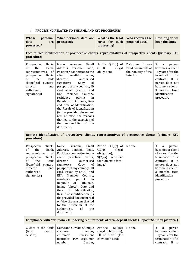# <span id="page-2-0"></span>**4. PROCESSING RELATED TO THE AML AND KYC PROCEDURES**

| Whose      | personal   What personal data are   What is the legal   Who receives the   How long do we |             |  |                               |                |
|------------|-------------------------------------------------------------------------------------------|-------------|--|-------------------------------|----------------|
| data       | are   processed?                                                                          |             |  | basis for such personal data? | keep the data? |
| processed? |                                                                                           | processing? |  |                               |                |

# **Face-to-face identification of prospective clients, representatives of prospective clients (primary KYC procedure)**

| clients<br>Prospective<br>the<br>Bank,<br>of<br>representatives of<br>clients<br>prospective<br>the<br>Bank<br>of<br>(beneficial owners,<br>director<br>and<br>authorised<br>signatories) | Name, Surname, Email<br>Address, Personal Code,<br>Position / connection to the<br>client (beneficial owner,<br>authorised<br>director,<br>signatory),<br>Copy<br>of<br>passport of any country, ID<br>card, issued by an EU and<br>EEA<br>Member<br>Country,<br>residence<br>permit<br>in<br>Republic of Lithuania, Date<br>and time of identification,<br>the Result of identification<br>(is the provided document)<br>real or false, the reasons<br>that led to the suspicion of<br>the authenticity of the<br>document) | Article $6(1)(c)$ of<br>GDPR<br>(legal)<br>obligation) | Database of non-<br>valid documents of<br>the Ministry of the<br>Interior | If<br>a<br>person<br>becomes a client<br>- 8 years after the<br>termination of a<br>contract:<br>- If<br>$\overline{a}$<br>person does not<br>become a client -<br>3 months from<br>identification<br>procedure |
|-------------------------------------------------------------------------------------------------------------------------------------------------------------------------------------------|------------------------------------------------------------------------------------------------------------------------------------------------------------------------------------------------------------------------------------------------------------------------------------------------------------------------------------------------------------------------------------------------------------------------------------------------------------------------------------------------------------------------------|--------------------------------------------------------|---------------------------------------------------------------------------|-----------------------------------------------------------------------------------------------------------------------------------------------------------------------------------------------------------------|
|-------------------------------------------------------------------------------------------------------------------------------------------------------------------------------------------|------------------------------------------------------------------------------------------------------------------------------------------------------------------------------------------------------------------------------------------------------------------------------------------------------------------------------------------------------------------------------------------------------------------------------------------------------------------------------------------------------------------------------|--------------------------------------------------------|---------------------------------------------------------------------------|-----------------------------------------------------------------------------------------------------------------------------------------------------------------------------------------------------------------|

**Remote identification of prospective clients, representatives of prospective clients (primary KYC procedure)**

| Prospective clients<br>the<br>Bank,<br>of<br>representatives of<br>clients<br>prospective<br>the<br>Bank<br>of<br>(beneficial owners,<br>director<br>and<br>authorised<br>signatories) | Name, Surname, Email  <br>Address, Personal Code,<br>Position / connection to the<br>client (beneficial owner,<br>  authorised<br>director,<br>signatory), Copy<br>of<br>passport of any country, ID<br>card, issued by an EU and<br>EEA Member Country,<br>residence<br>permit<br>in<br>Republic of Lithuania,<br>Image (photo), Date and<br>of identification,<br>time<br>Result of identification (is<br>the provided document real<br>or false, the reasons that led<br>to the suspicion of the<br>authenticity<br><sub>of</sub><br>the<br>document) | Article $6(1)(c)$ of<br>GDPR<br>(legal)<br>obligation),<br>9(2)(a)<br>(consent)<br>for biometric data -<br>image) | No one | If.<br>person<br>a<br>becomes a client<br>- 8 years after the<br>termination of a<br>contract: If a<br>person does not<br>become a client -<br>3 months from<br>identification<br>procedure |
|----------------------------------------------------------------------------------------------------------------------------------------------------------------------------------------|----------------------------------------------------------------------------------------------------------------------------------------------------------------------------------------------------------------------------------------------------------------------------------------------------------------------------------------------------------------------------------------------------------------------------------------------------------------------------------------------------------------------------------------------------------|-------------------------------------------------------------------------------------------------------------------|--------|---------------------------------------------------------------------------------------------------------------------------------------------------------------------------------------------|
|----------------------------------------------------------------------------------------------------------------------------------------------------------------------------------------|----------------------------------------------------------------------------------------------------------------------------------------------------------------------------------------------------------------------------------------------------------------------------------------------------------------------------------------------------------------------------------------------------------------------------------------------------------------------------------------------------------------------------------------------------------|-------------------------------------------------------------------------------------------------------------------|--------|---------------------------------------------------------------------------------------------------------------------------------------------------------------------------------------------|

**Compliance with anti-money laundering requirements of term deposit clients (Deposit Solution platform)**

|          |                                       |                                                 | Clients of the Bank   Name and Surname, Unique   Articles $6(1)(c)$   No one | If<br>a             | person |  |
|----------|---------------------------------------|-------------------------------------------------|------------------------------------------------------------------------------|---------------------|--------|--|
| term)    | $\text{deposit} \mid \text{customer}$ |                                                 | number, $ $ (legal obligation), $ $                                          | becomes a client    |        |  |
| service) | customer                              |                                                 | investment   $10$ of GDPR (for                                               | - 8 years after the |        |  |
|          |                                       | identifier, $POS$ costumer $ $ conviction data) |                                                                              | termination of a    |        |  |
|          | number.                               | Gender,                                         |                                                                              | contract; If a      |        |  |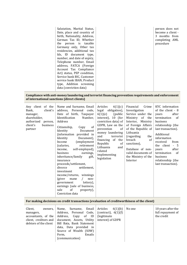| Salutation, Marital Status,<br>Date, place and country of<br>birth, Nationality, Address,<br>German Tax ID, Whether<br>the person is taxable<br>Germany only, Other tax<br>residencies, additional tax<br>Ids, ID document type,<br>number, and date of expiry,<br>Telephone number, Email<br>address, FATCA (Foreign<br>Account Tax Compliance<br>Act) status, PEP condition,<br>Service bank BIC, Customer<br>service bank IBAN, Product<br>type, Addition screening<br>data (conviction data) |
|--------------------------------------------------------------------------------------------------------------------------------------------------------------------------------------------------------------------------------------------------------------------------------------------------------------------------------------------------------------------------------------------------------------------------------------------------------------------------------------------------|
|--------------------------------------------------------------------------------------------------------------------------------------------------------------------------------------------------------------------------------------------------------------------------------------------------------------------------------------------------------------------------------------------------------------------------------------------------------------------------------------------------|

#### **Compliance with anti-money laundering and terrorist financing prevention requirements and enforcement of international sanctions (direct clients)**

| client's<br>Bank,<br>manager,<br>shareholder,<br>authorized<br>person,<br>client's<br>business<br>partner | Any client of the   Name and Surname, Email  <br>address, Personal code,<br>Date of birth, Taxpayer<br>Identification<br>Number,<br>Address<br>of<br>Citizenship,<br>Copy<br>Identity<br>Document<br>(information provided in<br>Identity<br>Document),<br>(employment<br>Income<br>retirement<br>(salaries,<br>self-employed),<br>income,<br>business<br>earnings,<br>inheritance/family<br>gift,<br>insurance<br>proceeds/settlement,<br>divorce<br>settlement,<br>investment<br>income/returns, winnings<br>(giver<br>mane<br>non-<br>government<br>lottery),<br>earnings (sale of business,<br>of<br>sale<br>property),<br>Conviction data | 6(1)(c)<br>Articles<br>legal obligation),<br>6(1)(e)<br>(public)<br>interest), 10 (for<br>conviction data) of<br>GDPR, Law on the<br>prevention<br>of<br>money laundering<br>and<br>terrorist<br>financing of the<br>Republic<br>of<br>Lithuania<br>and<br>related<br>implementing<br>legislation | Crime<br>Financial<br>Investigation<br>Service under the<br>Ministry of the<br>Interior, Ministry<br>of Foreign Affairs<br>of the Republic of<br>Lithuania<br>(regarding)<br>the<br>of<br>breach<br>sanctions),<br>Database of non-<br>valid documents of<br>the Ministry of the<br>Interior | KYC information<br>of the client - 8<br>after<br>vears<br>termination<br><sub>of</sub><br>business<br>relationship (the<br>last transaction).<br>Additional<br>information<br>from<br>received<br>the client<br>$-5$<br>after<br>years<br>termination<br><sub>of</sub><br>business<br>relationship (the<br>last transaction). |
|-----------------------------------------------------------------------------------------------------------|------------------------------------------------------------------------------------------------------------------------------------------------------------------------------------------------------------------------------------------------------------------------------------------------------------------------------------------------------------------------------------------------------------------------------------------------------------------------------------------------------------------------------------------------------------------------------------------------------------------------------------------------|---------------------------------------------------------------------------------------------------------------------------------------------------------------------------------------------------------------------------------------------------------------------------------------------------|----------------------------------------------------------------------------------------------------------------------------------------------------------------------------------------------------------------------------------------------------------------------------------------------|-------------------------------------------------------------------------------------------------------------------------------------------------------------------------------------------------------------------------------------------------------------------------------------------------------------------------------|
|-----------------------------------------------------------------------------------------------------------|------------------------------------------------------------------------------------------------------------------------------------------------------------------------------------------------------------------------------------------------------------------------------------------------------------------------------------------------------------------------------------------------------------------------------------------------------------------------------------------------------------------------------------------------------------------------------------------------------------------------------------------------|---------------------------------------------------------------------------------------------------------------------------------------------------------------------------------------------------------------------------------------------------------------------------------------------------|----------------------------------------------------------------------------------------------------------------------------------------------------------------------------------------------------------------------------------------------------------------------------------------------|-------------------------------------------------------------------------------------------------------------------------------------------------------------------------------------------------------------------------------------------------------------------------------------------------------------------------------|

# **For making decisions on credit transactions (evaluation of creditworthiness of the client)**

| Client,<br>owners.<br>managers,<br>accountants, of the | Name, Surname, Email<br>Address, Personal Code, $\vert$ (contract), 6(1)(f)<br>Address, Copy of ID<br>client, creditors and $\vert$ document, Assets, Utility $\vert$<br>debtors of the client $\parallel$ Bill Bata, Bank Statement<br>data, Data provided in<br>Source of Wealth (SOW)<br>Emails<br>Form,<br>(communication) | Articles<br>6(1)(b)<br>(legitimate)<br>interest) of GDPR | No one | 10 years after the<br>full repayment of<br>the credit |
|--------------------------------------------------------|--------------------------------------------------------------------------------------------------------------------------------------------------------------------------------------------------------------------------------------------------------------------------------------------------------------------------------|----------------------------------------------------------|--------|-------------------------------------------------------|
|--------------------------------------------------------|--------------------------------------------------------------------------------------------------------------------------------------------------------------------------------------------------------------------------------------------------------------------------------------------------------------------------------|----------------------------------------------------------|--------|-------------------------------------------------------|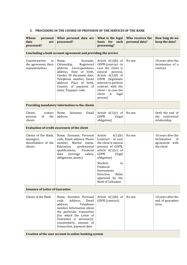| <b>Whose</b><br>personal<br>data<br>are<br>processed?               | What personal data are<br>processed?                                                                                                                                                                                                                      | What is the legal<br>basis for such<br>processing?                                                                                                                                                                                                                 | Who receives the<br>personal data? | How long do we<br>keep the data?                                        |  |  |  |  |
|---------------------------------------------------------------------|-----------------------------------------------------------------------------------------------------------------------------------------------------------------------------------------------------------------------------------------------------------|--------------------------------------------------------------------------------------------------------------------------------------------------------------------------------------------------------------------------------------------------------------------|------------------------------------|-------------------------------------------------------------------------|--|--|--|--|
| Concluding a bank account agreement and providing the service       |                                                                                                                                                                                                                                                           |                                                                                                                                                                                                                                                                    |                                    |                                                                         |  |  |  |  |
| Counterparties<br>to<br>the agreement, their<br>representatives     | Surname,<br>Name,<br>Citizenship,<br>Registered<br>Correspondence<br>address,<br>Date of birth,<br>address,<br>Gender, ID document data,<br>Telephone number, Email<br>address, Place of birth,<br>Country of payment of<br>taxes, Taxpayer code          | Article $6(1)(b)$ of<br>GDPR (contract - in<br>case the client is<br>natural<br>person),<br>Article $6(1)(f)$ of<br>GDPR (legitimate<br>interest to perform<br>contract with the<br>client - in case the<br>client<br>is<br>legal<br>person)                       | No one                             | 10 years after the<br>termination of a<br>contract                      |  |  |  |  |
|                                                                     | Providing mandatory information to the clients                                                                                                                                                                                                            |                                                                                                                                                                                                                                                                    |                                    |                                                                         |  |  |  |  |
| Clients,<br>contact<br>the<br><sub>of</sub><br>persons<br>clients   | Name,<br>Surname,<br>Email<br>address                                                                                                                                                                                                                     | Article $6(1)(c)$ of<br><b>GDPR</b><br>(legal<br>obligation)                                                                                                                                                                                                       | No one                             | Until the end of<br>contractual<br>the<br>relationship                  |  |  |  |  |
|                                                                     | <b>Evaluation of credit awareness of the client</b>                                                                                                                                                                                                       |                                                                                                                                                                                                                                                                    |                                    |                                                                         |  |  |  |  |
| Clients of the Bank,<br>managers,<br>shareholders of the<br>clients | Name, Surname, Personal<br>code, Email address, Phone<br>number,<br>Marital<br>status,<br>Education,<br>professional<br>qualifications,<br>Financial<br>data<br>(average<br>salary,<br>obligations, assets)                                               | Article<br>6(1)(b)<br>(contract - in case<br>the client is natural<br>person) of GDPR,<br>article $6(1)(c)$ of<br><b>GDPR</b><br>(legal<br>obligation)<br>Markets<br>in<br>Financial<br>Instruments<br>Rules<br>Directive,<br>approved by the<br>Bank of Lithuania | No one                             | 10 years after the<br>termination<br>of<br>agreement with<br>the client |  |  |  |  |
| <b>Issuance of Letter of Guarantee</b>                              |                                                                                                                                                                                                                                                           |                                                                                                                                                                                                                                                                    |                                    |                                                                         |  |  |  |  |
| Clients of the Bank                                                 | Name, Surname, Personal<br>code,<br>Address,<br>Email<br>address,<br>Telephone<br>number, Information about<br>the particular transaction<br>(for which the Letter of<br>Guarantee is necessary):<br>counterparty, amount of<br>transaction, payment date | Article $6(1)(b)$ of<br>GDPR (contract)                                                                                                                                                                                                                            | No one                             | 10 years after the<br>end of guarantee<br>term                          |  |  |  |  |
| Creation of the user account in online banking system               |                                                                                                                                                                                                                                                           |                                                                                                                                                                                                                                                                    |                                    |                                                                         |  |  |  |  |

# <span id="page-4-0"></span>**5. PROCESSING IN THE COURSE OF PROVISION OF THE SERVICES OF THE BANK**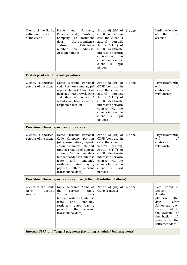| Clients of the Bank,<br>authorized persons<br>of the client | Surname,<br>Name<br>and<br>Personal<br>code,<br>Position,<br>ID<br>document<br>Company,<br>Correspondence<br>data,<br>address,<br>Telephone<br>number,<br>Email<br>address,<br>Account number                                                                                                                            | Article $6(1)(b)$ of<br>GDPR (contract - in<br>case the client is<br>natural<br>person),<br>Article $6(1)(f)$ of<br>GDPR<br>(legitimate<br>interest to perform<br>contract with the<br>client - in case the<br>client<br>is<br>legal<br>person | No one | Until the deletion<br>of<br>the<br>user<br>account                                                                                                                                                                      |
|-------------------------------------------------------------|--------------------------------------------------------------------------------------------------------------------------------------------------------------------------------------------------------------------------------------------------------------------------------------------------------------------------|------------------------------------------------------------------------------------------------------------------------------------------------------------------------------------------------------------------------------------------------|--------|-------------------------------------------------------------------------------------------------------------------------------------------------------------------------------------------------------------------------|
| Cash deposit / withdrawal operations                        |                                                                                                                                                                                                                                                                                                                          |                                                                                                                                                                                                                                                |        |                                                                                                                                                                                                                         |
| authorised<br>Clients,<br>persons of the client             | Name, surname, Personal<br>code, Position, company (of<br>representative), Amount of<br>deposit / withdrawal, Date<br>and time of deposit /<br>withdrawal, Number of the<br>respective account                                                                                                                           | Article $6(1)(b)$ of<br>GDPR (contract - in<br>case the client is<br>natural<br>person),<br>Article $6(1)(f)$ of<br>GDPR (legitimate<br>interest to perform<br>contract with the<br>client - in case the<br>client<br>is<br>legal<br>person)   | No one | 10 years after the<br>end<br><sub>of</sub><br>contractual<br>relationship                                                                                                                                               |
|                                                             | Provision of term deposit account service                                                                                                                                                                                                                                                                                |                                                                                                                                                                                                                                                |        |                                                                                                                                                                                                                         |
| authorised<br>Clients,<br>persons of the client             | Name, Surname, Personal<br>Code, Company, position<br>(of representative), Deposit<br>account number, Date and<br>time of creation of deposit<br>account. Transactional data<br>(amount of deposit, interest<br>(rate<br>and<br>amount),<br>settlement dates (pay-in,<br>pay-out), other relevant<br>transactional data) | Article $6(1)(b)$ of<br>GDPR (contract - in<br>case the client is<br>natural<br>person),<br>Article $6(1)(f)$ of<br>GDPR (legitimate<br>interest to perform<br>contract with the<br>client - in case the<br>client<br>is<br>legal<br>person)   | No one | 10 years after the<br>end<br>of<br>contractual<br>relationship                                                                                                                                                          |
|                                                             | Provision of term deposit service (through Deposit Solution platform)                                                                                                                                                                                                                                                    |                                                                                                                                                                                                                                                |        |                                                                                                                                                                                                                         |
| Clients of the Bank<br>(term<br>deposit<br>service)         | Name, Surname, Name of<br>the<br>Service<br>Bank,<br>Transactional<br>data<br>(amount of deposit, interest<br>(rate<br>and<br>amount),<br>settlement dates (pay-in,<br>pay-out), other relevant<br>transactional data)                                                                                                   | Article $6(1)(b)$ of<br>GDPR (contract)                                                                                                                                                                                                        | No one | Data stored in<br>Deposit<br>Solutions<br>platform<br>365<br>$\blacksquare$<br>days<br>after<br>Settlement day;<br>Data stored<br>in<br>the systems of<br>the bank -<br><b>10</b><br>years after the<br>settlement date |
|                                                             | Internal, SEPA, and Target2 payments (including scheduled bulk payments)                                                                                                                                                                                                                                                 |                                                                                                                                                                                                                                                |        |                                                                                                                                                                                                                         |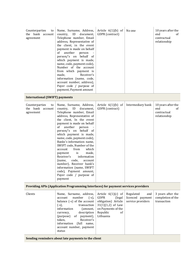| Counterparties<br>to<br>the bank account<br>agreement | Name, Surname, Address,<br>country,<br>ID<br>document,<br>Telephone number, Email<br>address, Representative of<br>the client, in the event<br>payment is made on behalf<br>of<br>another<br>person<br>person/'s on behalf of<br>which payment is made,<br>name, code, payment code),<br>Number of the account<br>from which payment is<br>Receiver's<br>made,<br>information (name, code,<br>account number, address),<br>Payer code / purpose of<br>payment, Payment amount                                                                                                             | Article $6(1)(b)$ of<br>GDPR (contract)                                                                                                           | No one                                                    | 10 years after the<br>end<br>of<br>contractual<br>relationship |
|-------------------------------------------------------|-------------------------------------------------------------------------------------------------------------------------------------------------------------------------------------------------------------------------------------------------------------------------------------------------------------------------------------------------------------------------------------------------------------------------------------------------------------------------------------------------------------------------------------------------------------------------------------------|---------------------------------------------------------------------------------------------------------------------------------------------------|-----------------------------------------------------------|----------------------------------------------------------------|
| <b>International (SWIFT) payments</b>                 |                                                                                                                                                                                                                                                                                                                                                                                                                                                                                                                                                                                           |                                                                                                                                                   |                                                           |                                                                |
| Counterparties<br>to<br>the bank account<br>agreement | Name, Surname, Address,<br>ID<br>country,<br>document,<br>Telephone number, Email<br>address, Representative of<br>the client, In the event<br>payment is made on behalf<br>of<br>another<br>person<br>person/'s on behalf of<br>which payment is made,<br>name, code, payment code),<br>Banks's information: name,<br>SWIFT code, Number of the<br>from<br>which<br>account<br>made,<br>is<br>payment<br>information<br>Receiver's<br>code,<br>(name,<br>account<br>number), Receiver bank's<br>information (name, SWIFT<br>code), Payment amount,<br>Payer code / purpose of<br>payment | Article $6(1)(b)$ of<br>GDPR (contract)                                                                                                           | Intermediary bank                                         | 10 years after the<br>end<br>of<br>contractual<br>relationship |
|                                                       | Providing APIs (Application Programming Interfaces) for payment services providers                                                                                                                                                                                                                                                                                                                                                                                                                                                                                                        |                                                                                                                                                   |                                                           |                                                                |
| Clients                                               | Name, Surname, address,<br>account<br>number<br>$(-s)$ ,<br>balance (-s) of the account<br>transaction<br>$(-s)$ ,<br>information<br>(amount,<br>description<br>currency,<br>(purpose)<br>payment),<br>of<br>Receiver's<br>token,<br>information<br>(full)<br>name,<br>account number, payment                                                                                                                                                                                                                                                                                            | Article $6(1)(c)$ of<br><b>GDPR</b><br>(legal)<br>obligation) Article<br>$31(1)(1,2)$ of Law<br>on Payments of the<br>Republic<br>of<br>Lithuania | Regulated<br>and<br>licenced payment<br>service providers | 3 years after the<br>completion of the<br>transaction          |

**Sending reminders about late payments to the client**

status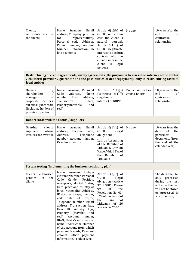| Clients,<br>representatives<br>of  <br>the clients | Surname, Email<br>Name,<br>address, Company, position $\parallel$<br>(of<br>Personal code, Address,<br>Phone number, Account Article $6(1)(f)$ of<br>Number, Information on<br>late payments | Article $6(1)(b)$ of<br>GDPR (contract - in<br>representative), $\vert$ case the client is<br>natural<br>person),<br>GDPR<br>(legitimate)<br>interest to perform<br>contract with the<br>client - in case the<br>client<br>legal<br>is<br>person) | No one | 10 years after the<br>end<br>0t<br>contractual<br>relationship |
|----------------------------------------------------|----------------------------------------------------------------------------------------------------------------------------------------------------------------------------------------------|---------------------------------------------------------------------------------------------------------------------------------------------------------------------------------------------------------------------------------------------------|--------|----------------------------------------------------------------|
|----------------------------------------------------|----------------------------------------------------------------------------------------------------------------------------------------------------------------------------------------------|---------------------------------------------------------------------------------------------------------------------------------------------------------------------------------------------------------------------------------------------------|--------|----------------------------------------------------------------|

#### **Restructuring of credit agreements, surety agreements (the purpose is to assess the solvency of the debtor / collateral provider / guarantor and the possibilities of debt repayment), only in restructuring cases of legal entities**

# **Debt records with the clients / suppliers**

| Overdue<br>clients,<br>whose<br>suppliers<br>invoices are overdue | Email  <br>Name,<br>surname,<br>address, Personal code,<br>Address,<br>Telephone<br>number, Account number,<br>Overdue amounts | Article $6(1)(c)$<br>of<br>GDPR<br>(legal)<br>obligation)<br>Law on Accounting<br>of the Republic of<br>Lithuania, Law on<br>Value Added Tax of<br>the Republic of<br>Lithuania | No one | 10 years from the<br>the<br>date<br>0f<br>particular<br>documents (from<br>the end of the<br>calendar year) |
|-------------------------------------------------------------------|--------------------------------------------------------------------------------------------------------------------------------|---------------------------------------------------------------------------------------------------------------------------------------------------------------------------------|--------|-------------------------------------------------------------------------------------------------------------|
|-------------------------------------------------------------------|--------------------------------------------------------------------------------------------------------------------------------|---------------------------------------------------------------------------------------------------------------------------------------------------------------------------------|--------|-------------------------------------------------------------------------------------------------------------|

## <span id="page-7-0"></span>**System testing (implementing the business continuity plan)**

| Clients,<br>persons<br>clients | authorised<br>0f | the | Name, Surname, Unique<br>customer number, Personal<br>Code, Gender, Position,<br>workplace, Marital Status,<br>Date, place and country of<br>birth, Nationality, Address,<br>ID document type, number,<br>date<br>of<br>and<br>expiry,<br>Telephone number, Email<br>address, Transaction data,<br>ID, Activity<br>logs,<br>User<br>Property (movable)<br>and<br>real), Account number,<br>IBAN, Banks's information:<br>name, SWIFT code, Number<br>of the account from which<br>payment is made, Payment<br>amount, other payment<br>information, Product type. | Article $6(1)(c)$ of<br>GDPR<br>(legal)<br>obligation - Article<br>32 of GDPR, Clause<br>99<br><sub>of</sub><br>the<br>Resolution No. 03-<br>174 of the Board of<br>the<br>Bank<br><sub>of</sub><br>Lithuania of<br>26<br>November 2020 |  | The data shall be<br>only processed<br>during the test<br>and after the test<br>will not be stored<br>or processed in<br>any other way. |
|--------------------------------|------------------|-----|-------------------------------------------------------------------------------------------------------------------------------------------------------------------------------------------------------------------------------------------------------------------------------------------------------------------------------------------------------------------------------------------------------------------------------------------------------------------------------------------------------------------------------------------------------------------|-----------------------------------------------------------------------------------------------------------------------------------------------------------------------------------------------------------------------------------------|--|-----------------------------------------------------------------------------------------------------------------------------------------|
|--------------------------------|------------------|-----|-------------------------------------------------------------------------------------------------------------------------------------------------------------------------------------------------------------------------------------------------------------------------------------------------------------------------------------------------------------------------------------------------------------------------------------------------------------------------------------------------------------------------------------------------------------------|-----------------------------------------------------------------------------------------------------------------------------------------------------------------------------------------------------------------------------------------|--|-----------------------------------------------------------------------------------------------------------------------------------------|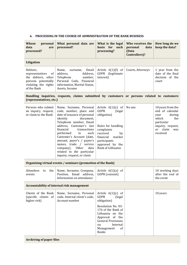## **6. PROCESSING IN THE COURSE OF ADMINISTRATION OF THE BANK BUSINESS**

| <b>Whose</b><br>personal<br>data<br>are<br>processed?                                                                 | What personal data are<br>processed?                                                                                                                                                                                                                                                                                                                                                                    | What is the legal<br>basis for such<br>processing?                                                                                                                                                                                  | Who receives the<br>personal<br>data<br>(Data<br><b>Controllers</b> )? | How long do we<br>keep the data?                                                                                                                       |
|-----------------------------------------------------------------------------------------------------------------------|---------------------------------------------------------------------------------------------------------------------------------------------------------------------------------------------------------------------------------------------------------------------------------------------------------------------------------------------------------------------------------------------------------|-------------------------------------------------------------------------------------------------------------------------------------------------------------------------------------------------------------------------------------|------------------------------------------------------------------------|--------------------------------------------------------------------------------------------------------------------------------------------------------|
| Litigation                                                                                                            |                                                                                                                                                                                                                                                                                                                                                                                                         |                                                                                                                                                                                                                                     |                                                                        |                                                                                                                                                        |
| Debtors,<br>representatives<br>of<br>the debtors, other<br>persons potentially<br>violating the rights<br>of the Bank | Email<br>Name,<br>surname,<br>Address,<br>address,<br>Telephone<br>number,<br>Personal Code, Financial<br>information, Marital Status,<br>Assets, Income                                                                                                                                                                                                                                                | Article $6(1)(f)$ of<br>GDPR<br>(legitimate<br>interest)                                                                                                                                                                            | Courts, Attorneys                                                      | 1 year from the<br>date of the final<br>decision of the<br>court                                                                                       |
| (representatives, etc.)                                                                                               | Handling inquiries, requests, claims submitted by customers or persons related to customers                                                                                                                                                                                                                                                                                                             |                                                                                                                                                                                                                                     |                                                                        |                                                                                                                                                        |
| Persons who submit<br>an inquiry, request,<br>or claim to the Bank                                                    | Name, Surname, Personal<br>code, number, place and<br>date of issuance of personal<br>identity<br>document.<br>Telephone number, Email<br>address, Customer's last<br>financial<br>transactions<br>performed<br>in<br>each<br>Customer's Account (date,<br>amount, payer's / payee's<br>names, trade / service<br>Other<br>company),<br>data<br>related to the particular<br>inquiry, request, or claim | Article $6(1)(c)$ of<br><b>GDPR</b><br>(legal)<br>obligation)<br>Rules for handling<br>complaints<br>received<br>by<br>financial<br>market<br>participants<br>approved by the<br>Bank of Lithuania                                  | No one                                                                 | 10 years from the<br>end of calendar<br>during<br>year<br>which<br>the<br>particular<br>inquiry, request,<br>claim<br><sub>or</sub><br>was<br>received |
|                                                                                                                       | Organising virtual events / seminars (promotion of the Bank)                                                                                                                                                                                                                                                                                                                                            |                                                                                                                                                                                                                                     |                                                                        |                                                                                                                                                        |
| Attendees<br>the<br>to<br>events                                                                                      | Name, Surname, Company,<br>Position, Email address,<br>Information on attendance                                                                                                                                                                                                                                                                                                                        | Article $6(1)(a)$ of<br>GDPR (consent)                                                                                                                                                                                              |                                                                        | 10 working days<br>after the end of<br>the event                                                                                                       |
|                                                                                                                       | Accountability of internal risk management                                                                                                                                                                                                                                                                                                                                                              |                                                                                                                                                                                                                                     |                                                                        |                                                                                                                                                        |
| Clients of the Bank<br>(specific clients of<br>higher risk)                                                           | Name, Surname, Personal<br>code, Internal client's code,<br>Account number                                                                                                                                                                                                                                                                                                                              | Article $6(1)(c)$ of<br><b>GDPR</b><br>(legal)<br>obligation)<br>Resolution No. 03-<br>176 of the Bank of<br>Lithuania on the<br>Approval of the<br><b>General Provisions</b><br>Internal<br>on<br>Management<br>of<br><b>Banks</b> |                                                                        | 10 years                                                                                                                                               |

# **Archiving of paper files**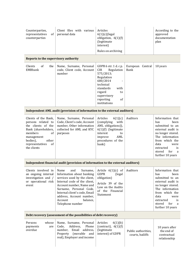| Counterparties,<br>representatives<br>of<br>counterparties                                                                                                                          | Client files with various<br>personal data                                                                                                                                                                                                                                          | Articles<br>$6(1)(c)(\text{legal})$<br>obligation, 6(1)(f)<br>(legitimate<br>interest)<br>Rules on archiving                                                                                 |                                         | According to the<br>approved<br>documentation<br>plan                                                                                                                                                          |
|-------------------------------------------------------------------------------------------------------------------------------------------------------------------------------------|-------------------------------------------------------------------------------------------------------------------------------------------------------------------------------------------------------------------------------------------------------------------------------------|----------------------------------------------------------------------------------------------------------------------------------------------------------------------------------------------|-----------------------------------------|----------------------------------------------------------------------------------------------------------------------------------------------------------------------------------------------------------------|
| Reports to the supervisory authority                                                                                                                                                |                                                                                                                                                                                                                                                                                     |                                                                                                                                                                                              |                                         |                                                                                                                                                                                                                |
| of<br>Clients<br>the<br><b>EMBbank</b>                                                                                                                                              | Name, Surname, Personal<br>code, Client code, Account<br>number                                                                                                                                                                                                                     | GDPR 6 str. 1 d. c p.<br>Regulation<br><b>CIR</b><br>575/2013;<br>Regulation<br>680/2014<br>technical<br>standards<br>with<br>regard<br>to<br>supervisory<br>reporting<br>of<br>institutions | European Central<br><b>Bank</b>         | 10 years                                                                                                                                                                                                       |
|                                                                                                                                                                                     | Independent AML audit (provision of information to the external auditors)                                                                                                                                                                                                           |                                                                                                                                                                                              |                                         |                                                                                                                                                                                                                |
| Clients of the Bank,<br>persons related to<br>the clients of the<br>Bank (shareholders,<br>members<br>of<br>management<br>bodies),<br>other<br>of<br>representatives<br>the clients | Name, Surname, Personal<br>Code, Client's code, Account<br>number, Other information<br>collected for AML and KYC<br>purposes                                                                                                                                                       | 6(1)(c)<br>Articles<br>(complying<br>with<br>AML obligations)),<br>6(1)(f) (legitimate<br>interest<br>to<br>AML<br>improve<br>procedures of the<br>bank)                                     | Auditors                                | Information that<br>has<br>been<br>submitted to an<br>external audit is<br>no longer stored.<br>The information<br>from which the<br>data<br>were<br>extracted<br>is<br>stored<br>for<br>a<br>further 10 years |
|                                                                                                                                                                                     | Independent financial audit (provision of information to the external auditors)                                                                                                                                                                                                     |                                                                                                                                                                                              |                                         |                                                                                                                                                                                                                |
| Clients involved in<br>an ongoing internal<br>investigation and /<br>or operational risk<br>event                                                                                   | Surname,<br>Name<br>and<br>Information about banking<br>services used by the client,<br>Internal code of the client,<br>Account number, Name and<br>Surname, Personal Code,<br>Internal client's code, Email<br>address, Account number,<br>Account<br>balance,<br>Telephone number | Article $6(1)(c)$ of<br><b>GDPR</b><br>(legal<br>obligation)<br>Article 39 of the<br>Law on the Audits<br>of the Financial<br>Statement                                                      | Auditors                                | Information that<br>been<br>has<br>submitted to an<br>external audit is<br>no longer stored.<br>The information<br>from which the<br>data<br>were<br>extracted<br>is<br>stored<br>for<br>a<br>further 10 years |
| Debt recovery (assessment of the possibilities of debt recovery)                                                                                                                    |                                                                                                                                                                                                                                                                                     |                                                                                                                                                                                              |                                         |                                                                                                                                                                                                                |
| Persons<br>whose<br>payments<br>are<br>overdue                                                                                                                                      | Name, Surname, Personal<br>Address,<br>Phone<br>Code,<br>number, Email<br>address,<br>Property (movable<br>and<br>real), Employer and income                                                                                                                                        | Articles<br>6(1)(b)<br>(contract), $6(1)(f)$<br>(legitimate<br>interest) of GDPR                                                                                                             | Public authorities,<br>courts, bailiffs | 10 years after<br>the end of<br>contractual<br>relationship                                                                                                                                                    |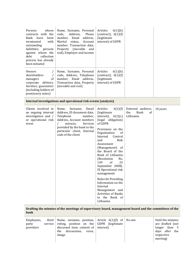| Persons<br>whose<br>contracts with the<br>Bank<br>have<br>been<br>terminated<br>with<br>outstanding<br>liabilities;<br>persons<br>against whom the<br>collection<br>debt<br>process has already<br>been initiated | Name, Surname, Personal<br>code,<br>Address,<br>Phone<br>number,<br>Email<br>address,<br>Marital<br>Account<br>status,<br>number, Transaction data,<br>Property (movable<br>and<br>real), Employer and income                         | 6(1)(b)<br>Articles<br>(contract), $6(1)(f)$<br>(legitimate<br>interest) of GDPR                                                                                                                                                                                                                                                                                                                                                                                                                             |                                                      |          |
|-------------------------------------------------------------------------------------------------------------------------------------------------------------------------------------------------------------------|---------------------------------------------------------------------------------------------------------------------------------------------------------------------------------------------------------------------------------------|--------------------------------------------------------------------------------------------------------------------------------------------------------------------------------------------------------------------------------------------------------------------------------------------------------------------------------------------------------------------------------------------------------------------------------------------------------------------------------------------------------------|------------------------------------------------------|----------|
| Owners<br>shareholders<br>of<br>managers<br>debtors;<br>corporate<br>Sureties; guarantors<br>(including holders of<br>promissory notes)                                                                           | Name, Surname, Personal<br>code, Address, Telephone<br>number, Email address,<br>Transaction data, Property<br>(movable and real)                                                                                                     | Articles<br>6(1)(b)<br>(contract), $6(1)(f)$<br>(legitimate<br>interest) of GDPR                                                                                                                                                                                                                                                                                                                                                                                                                             |                                                      |          |
|                                                                                                                                                                                                                   | Internal investigations and operational risk events (analysis)                                                                                                                                                                        |                                                                                                                                                                                                                                                                                                                                                                                                                                                                                                              |                                                      |          |
| Clients involved in<br>an ongoing internal<br>investigation and /<br>or operational risk<br>event                                                                                                                 | Surname,<br>Email<br>Name,<br>Address, ID document data,<br>Telephone<br>number,<br>Address, Account numbers<br>$\prime$<br>extracts,<br>Services<br>provided by the bank to the<br>particular client, Internal<br>code of the client | Articles<br>6(1)(f)<br>(legitimate<br>interest),<br>6(1)(c)<br>(legal obligation)<br>of GDPR<br>Provisions on the<br>Organization<br>of<br>Internal<br>Control<br>and<br>Risk<br>Assessment<br>(Management) of<br>the Board of the<br>Bank of Lithuania<br>(Resolution<br>No.<br>149<br><sub>of</sub><br>25<br>September 2008).<br>IX Operational risk<br>management<br><b>Rules for Providing</b><br>Information on the<br>Internal<br>Management and<br>Activities of Banks<br>to the Bank of<br>Lithuania | External auditors,<br>Bank<br>the<br>of<br>Lithuania | 10 years |

**Drafting the minutes of the meetings of supervisory board, management board and the committees of the bank**

| third  <br>Employees.<br>party<br>service<br>providers | Name, surname, position, $\vert$ Article 6(1)(f) of<br>voting, position on the $\Box$ GDPR (legitimate<br>discussed item, content of $\vert$ interest)<br>discussions.<br>voice.<br>the<br>image. |  | No one | Until the minutes<br>are drafted (not<br>than 5<br>longer<br>days after the<br>respective<br>meeting) |
|--------------------------------------------------------|---------------------------------------------------------------------------------------------------------------------------------------------------------------------------------------------------|--|--------|-------------------------------------------------------------------------------------------------------|
|--------------------------------------------------------|---------------------------------------------------------------------------------------------------------------------------------------------------------------------------------------------------|--|--------|-------------------------------------------------------------------------------------------------------|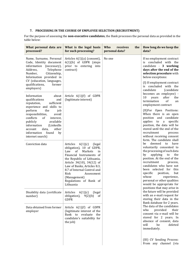# <span id="page-11-0"></span>**7. PROCESSING IN THE COURSE OF EMPLOYEE SELECTION (RECRUITMENT)**

For the purpose of assessing the **non-executive candidates**, the Bank processes the personal data as provided in the table below:

| What personal data are<br>processed?                                                                                                                                                                                    | What is the legal basis<br>for such processing?                                                                                                                                                                                                                                                                               | Who<br>receives<br>the<br>personal data? | How long do we keep the<br>data?                                                                                                                                                                                                                                                                                                                                                         |
|-------------------------------------------------------------------------------------------------------------------------------------------------------------------------------------------------------------------------|-------------------------------------------------------------------------------------------------------------------------------------------------------------------------------------------------------------------------------------------------------------------------------------------------------------------------------|------------------------------------------|------------------------------------------------------------------------------------------------------------------------------------------------------------------------------------------------------------------------------------------------------------------------------------------------------------------------------------------------------------------------------------------|
| Name, Surname, Personal<br>Code, Identity document<br>information (necessary),<br>Telephone<br>Address,<br>Citizenship,<br>Number,<br>Information provided in                                                           | Articles $6(1)(a)$ (consent),<br>$6(1)(b)$ of GDPR (steps<br>prior to entering into<br>contract)                                                                                                                                                                                                                              | No one                                   | If no employment contract<br>concluded with the<br>is<br>candidate - 3 working<br>days after the end of the<br>selection procedure with<br>below exceptions:                                                                                                                                                                                                                             |
| CV (education, languages,<br>qualifications,<br>former<br>employers)                                                                                                                                                    |                                                                                                                                                                                                                                                                                                                               |                                          | (I) If employment contract<br>is concluded with the<br>candidate<br>(candidate                                                                                                                                                                                                                                                                                                           |
| Information<br>about<br>qualifications<br>and<br>reputation,<br>sufficient<br>experience and skills to                                                                                                                  | Article $6(1)(f)$ of GDPR<br>(legitimate interest)                                                                                                                                                                                                                                                                            |                                          | becomes an employee) -<br>after<br>10<br>the<br>years<br>termination<br>of<br>an<br>employment contract                                                                                                                                                                                                                                                                                  |
| perform<br>the<br>job<br>responsibilities,<br>avoid<br>conflicts<br>of<br>interest,<br>publicly<br>available<br>information<br>(LinkedIn<br>other<br>account<br>data,<br>found<br>information<br>by<br>internet search) |                                                                                                                                                                                                                                                                                                                               | in<br>of<br>the                          | (II)For Open Positions:<br>When there is an open<br>position and candidate<br>applies to a<br>specific<br>position, the data will be<br>stored until the end of the<br>recruitment<br>process<br>without receiving consent<br>form. The candidate shall                                                                                                                                  |
| Conviction data                                                                                                                                                                                                         | Articles<br>$6(1)(c)$ (legal<br>obligation), 10 of GDPR,<br>Markets<br>Law<br><sub>of</sub><br>Financial Instruments of<br>the Republic of Lithuania,<br>Article 34(10), 34(12) of<br>Law of Banks, Articles 8.3,<br>8.7 of Internal Control and<br>Risk<br>Assessment<br>(Management)<br>Regulations of Bank of<br>Lithuania |                                          | deemed<br>have<br>be<br>to<br>voluntarily consented to<br>the processing of such data<br>by<br>applying<br>to<br>the<br>position. At the end of the<br>recruitment<br>process,<br>candidates who have not<br>been selected for<br>this<br>specific<br>position,<br>but<br>whose<br>experience,<br>personal or other qualities<br>would be appropriate for<br>positions that may arise in |
| Disability data (certificate<br>number)                                                                                                                                                                                 | Articles<br>6(1)(c)<br>(legal)<br>obligation),<br>9(2)(b)<br><b>GDPR</b>                                                                                                                                                                                                                                                      |                                          | the future will be provided<br>with an e-mail request for<br>storing their data in the<br>Bank database for 2 years.                                                                                                                                                                                                                                                                     |
| Data obtained from former<br>employer                                                                                                                                                                                   | Article 6(1)(f) of GDPR<br>(legitimate interest of the<br>Bank to<br>evaluate<br>candidate's suitability for<br>the job)                                                                                                                                                                                                      |                                          | The data of the candidates<br>provided<br>who<br>their<br>consent via e-mail will be<br>stored for 2 years. In<br>absence of consent, data<br>will<br>be<br>deleted<br>immediately.                                                                                                                                                                                                      |
|                                                                                                                                                                                                                         |                                                                                                                                                                                                                                                                                                                               |                                          | (III) CV Sending Process:<br>From any channel (via                                                                                                                                                                                                                                                                                                                                       |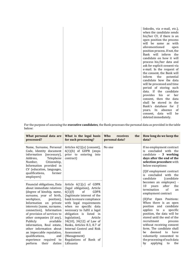linkedin, via e-mail, etc.), when the candidate sends his/her CV, if there is an open position the process will be same as with aforementioned open position process. If not, the Bank will inform the candidate on how it will process his/her data and ask for explicit consent via e-mail. In the request of the consent, the Bank will inform the potential candidate how the data will be processed and time period of storing such data. If the candidate provides his or her consent, then the data shall be stored in the Bank's database for 2 years. In absence of consent, data will be deleted immediately.

For the purpose of assessing the **executive candidates**, the Bank processes the personal data as provided in the table below:

| What personal data are<br>processed?                                                                                                                                                                                                                                                                                                                                                                                                                                                        | What is the legal basis<br>for such processing?                                                                                                                                                                                                                                                                                                                                                                                                                 | Who<br>receives<br>the<br>personal data? | How long do we keep the<br>data?                                                                                                                                                                                                                                                                                                                                                                                                                                                              |
|---------------------------------------------------------------------------------------------------------------------------------------------------------------------------------------------------------------------------------------------------------------------------------------------------------------------------------------------------------------------------------------------------------------------------------------------------------------------------------------------|-----------------------------------------------------------------------------------------------------------------------------------------------------------------------------------------------------------------------------------------------------------------------------------------------------------------------------------------------------------------------------------------------------------------------------------------------------------------|------------------------------------------|-----------------------------------------------------------------------------------------------------------------------------------------------------------------------------------------------------------------------------------------------------------------------------------------------------------------------------------------------------------------------------------------------------------------------------------------------------------------------------------------------|
| Name, Surname, Personal<br>Code, Identity document<br>information (necessary),<br>Address,<br>Telephone<br>Citizenship,<br>Number,<br>Information provided in<br>CV (education, languages,<br>qualifications,<br>former<br>employers)                                                                                                                                                                                                                                                       | Articles $6(1)(a)$ (consent),<br>$6(1)(b)$ of GDPR (steps<br>prior to entering into<br>contract)                                                                                                                                                                                                                                                                                                                                                                | No one                                   | If no employment contract<br>concluded with the<br>iς<br>candidate - 3 working<br>days after the end of the<br>selection procedure with<br>below exceptions:<br>(I)If employment contract<br>is concluded<br>with the<br>candidate<br>(candidate)                                                                                                                                                                                                                                             |
| Financial obligations, Data<br>about immediate relatives<br>(degree of kinship, name,<br>surname, year of birth,<br>workplace,<br>position),<br>Information on private<br>interests (name, surname,<br>connection), Information<br>of provision of services to<br>other companies (if any),<br>Publicly<br>available<br>information, Real estate,<br>other information about<br>an impeccable reputation,<br>qualifications,<br>and<br>experience required to<br>perform<br>their<br>duties | Article $6(1)(c)$ of GDPR<br>(legal obligation), Article<br>GDPR<br>6(1)(f)<br><sub>of</sub><br>(legitimate interest of the<br>bank to ensure compliance<br>with legal requirements<br>when no specific data<br>necessary to fulfil a legal<br>obligation is listed in<br>legislation),<br>Article<br>34(10), 34(12) of Law of<br>Banks, Articles 8.3, 8.7 of<br>Internal Control and Risk<br>Assessment<br>(Management)<br>Regulations of Bank of<br>Lithuania |                                          | becomes an employee) -<br>after<br>10<br>years<br>the<br>of<br>termination<br>an<br>employment contract<br>(II)For Open Positions:<br>When there is an open<br>position and candidate<br>applies to<br>specific<br>a<br>position, the data will be<br>stored until the end of the<br>recruitment<br>process<br>without receiving consent<br>form. The candidate shall<br>deemed<br>have<br>be<br>to<br>voluntarily consented to<br>the processing of such data<br>applying<br>by<br>to<br>the |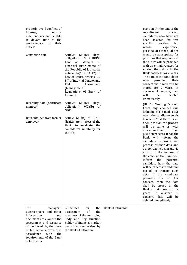| properly, avoid conflicts of<br>interest,<br>ensure<br>independence and be able<br>to devote time to the<br>of<br>performance<br>their<br>duties"<br>Conviction data                                                                                           | Articles<br>6(1)(c)<br>(legal<br>obligation), 10 of GDPR,<br>Law<br>of<br>Markets<br>in<br>Financial Instruments of<br>the Republic of Lithuania,<br>Article 34(10), 34(12) of<br>Law of Banks, Articles 8.3,<br>8.7 of Internal Control and<br>Risk<br>Assessment<br>(Management)<br>Regulations of Bank of<br>Lithuania |                   | position. At the end of the<br>recruitment<br>process,<br>candidates who have not<br>been selected for<br>this<br>specific<br>but<br>position,<br>whose<br>experience,<br>personal or other qualities<br>would be appropriate for<br>positions that may arise in<br>the future will be provided<br>with an e-mail request for<br>storing their data in the<br>Bank database for 2 years.<br>The data of the candidates<br>who<br>provided<br>their<br>consent via e-mail will be<br>stored for 2 years. In<br>absence of consent, data<br>will<br>be<br>deleted<br>immediately.                                                                                                                                                   |
|----------------------------------------------------------------------------------------------------------------------------------------------------------------------------------------------------------------------------------------------------------------|---------------------------------------------------------------------------------------------------------------------------------------------------------------------------------------------------------------------------------------------------------------------------------------------------------------------------|-------------------|-----------------------------------------------------------------------------------------------------------------------------------------------------------------------------------------------------------------------------------------------------------------------------------------------------------------------------------------------------------------------------------------------------------------------------------------------------------------------------------------------------------------------------------------------------------------------------------------------------------------------------------------------------------------------------------------------------------------------------------|
| Disability data (certificate<br>number)                                                                                                                                                                                                                        | Articles<br>6(1)(c)<br>(legal<br>obligation), $9(2)(b)$<br><sub>of</sub><br><b>GDPR</b>                                                                                                                                                                                                                                   |                   | (III) CV Sending Process:<br>From any channel (via<br>linkedin, via e-mail, etc.),                                                                                                                                                                                                                                                                                                                                                                                                                                                                                                                                                                                                                                                |
| Data obtained from former<br>employer                                                                                                                                                                                                                          | Article 6(1)(f) of GDPR<br>(legitimate interest of the<br>Bank to evaluate the<br>candidate's suitability for<br>the job)                                                                                                                                                                                                 |                   | when the candidate sends<br>his/her CV, if there is an<br>open position the process<br>will be same as with<br>aforementioned<br>open<br>position process. If not, the<br>Bank will inform the<br>candidate on how it will<br>process his/her data and<br>ask for explicit consent via<br>e-mail. In the request of<br>the consent, the Bank will<br>inform<br>the<br>potential<br>candidate how the data<br>will be processed and time<br>period of storing such<br>data. If the candidate<br>provides<br>his<br>her<br><sub>or</sub><br>consent, then the<br>data<br>shall be stored in the<br>database for<br>Bank's<br>$\overline{2}$<br>absence<br>In<br>οf<br>years.<br>data will<br>consent,<br>be<br>deleted immediately. |
| The<br>manager's<br>questionnaire<br>and other<br>information<br>and<br>documents relevant to the<br>assessment and issuance<br>of the permit by the Bank<br>of Lithuania approved in<br>accordance<br>with<br>the<br>requirements of the Bank<br>of Lithuania | Guidelines<br>for<br>the<br>the<br>of<br>assessment<br>members of the managing<br>body and key function<br>holder of financial market<br>participants supervised by<br>the Bank of Lithuania                                                                                                                              | Bank of Lithuania |                                                                                                                                                                                                                                                                                                                                                                                                                                                                                                                                                                                                                                                                                                                                   |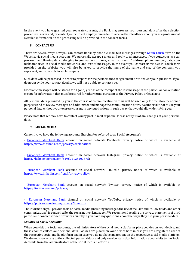In the event you have granted your separate consents, the Bank may process your personal data after the selection procedure is over and/or contact your current employer in order to receive their feedback about you as a professional. Detailed information on the processing will be provided in the consent forms.

#### <span id="page-14-0"></span>**8. CONTACT US**

There are several ways how you can contact Bank: by phone, e-mail, text messages throug[h Get in Touch](https://em.bank/get-in-touch/) form on the Website, via social media accounts. We personally accept, review and reply to all messages. If you contact us, we can process the following data belonging to you: name, surname, e-mail address, IP address, phone number, date, your nickname used in social media networks, and text of messages. In the event you contact us via Get in Touch form provided on the Website, you will also be asked to provide the name of the name and size of the company you represent, and your role in such company.

Such data will be processed in order to prepare for the performance of agreement or to answer your questions. If you do not provide your contact details, we will not be able to contact you.

Electronic messages will be stored for 1 (one) year as of the receipt of the last message of the particular conversation except for information that must be stored for other terms pursuant to the Privacy Policy or legal acts.

All personal data provided by you in the course of communication with us will be used only for the aforementioned purposes and to review messages and administer and manage the communication flows. We undertake not to use your personal data without your express consent in any publications in such a way that would allow identifying you.

Please note that we may have to contact you by post, e-mail or phone. Please notify us of any changes of your personal data.

#### <span id="page-14-1"></span>**9. SOCIAL MEDIA**

Currently, we have the following accounts (hereinafter referred to as **Social Accounts**):

- [European Merchant Bank](https://www.facebook.com/europeanmerchantbank/) account on social network Facebook, privacy notice of which is available at [https://www.facebook.com/privacy/explanation;](https://www.facebook.com/privacy/explanation)

- [European Merchant Bank](https://www.instagram.com/europeanmerchantbank/) account on social network Instagram privacy notice of which is available at [https://help.instagram.com/519522125107875;](https://help.instagram.com/519522125107875)

- [European Merchant Bank](https://lt.linkedin.com/company/european-merchant-bank) account on social network LinkedIn, privacy notice of which is available at [https://www.linkedin.com/legal/privacy-policy;](https://www.linkedin.com/legal/privacy-policy)

- [European Merchant Bank](https://mobile.twitter.com/europeanmercha1) account on social network Twitter, privacy notice of which is available at [https://twitter.com/en/privacy;](https://twitter.com/en/privacy)

- [European Merchant Bank](https://www.youtube.com/channel/UCoXRx7OcGevra-1A_5kPGww) channel on social network YouTube, privacy notice of which is available at [https://policies.google.com/privacy?hl=en-US.](https://policies.google.com/privacy?hl=en-US)

The information you provide to us on social media (including messages, the use of the Like and Follow fields, and other communications) is controlled by the social network manager. We recommend reading the privacy statements of third parties and contact service providers directly if you have any questions about the ways they use your personal data.

#### *Cookies on Social Accounts*

When you visit the Social Accounts, the administrators of the social media platforms place cookies on your device, and these cookies collect your personal data. Cookies are placed on your device both in case you are a registered user of the respective social media platform and in case you do not have an account on the respective social media platform. We do not have access to the collected personal data and only receive statistical information about visits to the Social Accounts from the administrators of the social media platforms.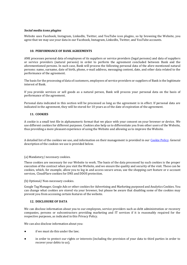#### *Social media icons plugins*

Website uses Facebook, Instagram, LinkedIn, Twitter, and YouTube icon plugins, so by browsing the Website, you agree that we may use your data in our Facebook, Instagram, LinkedIn, Twitter, and YouTube accounts.

#### <span id="page-15-0"></span>**10. PERFORMANCE OF BANK AGREEMENTS**

ANK processes personal data of employees of its suppliers or service providers (legal persons) and data of suppliers or service providers (natural persons) in order to perform the agreement concluded between Bank and the aforementioned persons. In such case, Bank will process the following personal data of the afore mentioned natural persons: name, surname, date of birth, phone, e-mail address, messaging content, date, and other data related to the performance of the agreement.

The basis for the processing of data of customers, employees of service providers or suppliers of Bank is the legitimate interest of Bank.

If you provide services or sell goods as a natural person, Bank will process your personal data on the basis of performance of the agreement.

Personal data indicated in this section will be processed as long as the agreement is in effect. If personal data are indicated in the agreement, they will be stored for 10 years as of the date of expiration of the agreement.

## <span id="page-15-1"></span>**11. COOKIES**

A cookie is a small text file in alphanumeric format that we place with your consent on your browser or device. We use different cookies for different purposes. Cookies also help us to differentiate you from other users of the Website, thus providing a more pleasant experience of using the Website and allowing us to improve the Website.

A detailed list of the cookies we use, and information on their management is provided in our [Cookie Policy.](https://em.bank/cookie-policy/) General description of the cookies we use is provided below.

#### (a) Mandatory/ necessary cookies.

These cookies are necessary for our Website to work. The basis of the data processed by such cookies is the proper execution of the contract when you visit the Website, and we ensure the quality and security of the visit. These can be cookies, which, for example, allow you to log in and access secure areas, use the shopping cart feature or e-account services, CloudFlare cookies for DNS and DDOS protection.

(b) Optional/ Non-necessary cookies.

Google Tag Manager, Google Ads or other cookies for Advertising and Marketing purposed and Analytics Cookies. You can change what cookies are stored via your browser, but please be aware that disabling some of the cookies may prevent you from accessing certain features of the website.

#### <span id="page-15-2"></span>**12. DISCLOSURE OF DATA**

We can disclose information about you to our employees, service providers such as debt administration or recovery companies, persons or subcontractors providing marketing and IT services if it is reasonably required for the respective purposes, as indicated in this Privacy Policy.

We can also disclose information about you:

- if we must do this under the law;
- in order to protect our rights or interests (including the provision of your data to third parties in order to recover your debts to us);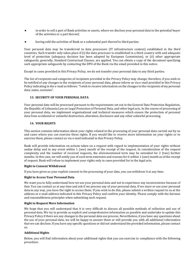- in order to sell a part of Bank activities or assets, where we disclose your personal data to the potential buyer of the activities or a part thereof;
- having sold the activities of Bank or a substantial part thereof to third parties.

Your personal data may be transferred to data processors (IT infrastructure context) established in the third countries. Such transfer only takes place if (i) the data processor is established in a third country with and adequate level of protection (adequacy decision has been adopted by European Commission), or (ii) other appropriate safeguards, generally, Standard Contractual Clauses, are applied. You can obtain a copy of the document specifying such appropriate safeguards by contacting the DPO of the Bank via the email provided in this notice.

Except in cases provided in this Privacy Policy, we do not transfer your personal data to any third parties.

The list of recipients and categories of recipients provided in the Privacy Policy may change; therefore, if you wish to be notified of any changes to the recipients of your personal data, please inform us via e-mail provided in this Privacy Policy indicating in the e-mail as follows: "I wish to receive information on the changes to the recipients of my personal data, name, surname".

#### <span id="page-16-0"></span>**13. SECURITY OF YOUR PERSONAL DATA**

Your personal data will be processed pursuant to the requirements set out in the General Data Protection Regulation, the Republic of Lithuania Law on Legal Protection of Personal Data, and other legal acts. In the course of processing of your personal data, we implement organisational and technical measures which ensure the protection of personal data from accidental or unlawful destruction, alteration, disclosure and any other unlawful processing.

#### <span id="page-16-1"></span>**14. YOUR RIGHTS**

This section contains information about your rights related to the processing of your personal data carried out by us and cases where you can exercise these rights. If you would like to receive more information on your rights or to exercise them, please contact us via e-mail indicated in this Privacy Policy.

Bank will provide information on actions taken on a request with regard to implementation of your rights without undue delay and in any event within 1 (one) month of the receipt of the request. In consideration of the request complexity and the number of received requests, the aforementioned term may be extended for 2 (two) further months. In this case, we will notify you of such term extension and reasons for it within 1 (one) month as of the receipt of request. Bank will refuse to implement your rights only in cases provided for in the legal acts.

#### **Right to Consent Withdrawal**

If you have given us your explicit consent to the processing of your data, you can withdraw it at any time.

#### **Right to Access Your Personal Data**

We want you to fully understand how we use your personal data and not to experience any inconvenience because of that. You can contact us at any time and ask if we process any of your personal data. If we store or use your personal data in any way, you have the right to access them. If you wish to do this, please submit a written request to us at the address or e-mail address indicated in this Privacy Policy and confirm your identity. Please comply with the fairness and reasonableness principles when submitting such request.

#### **Right to Request More Information**

We hope that you will understand that it is very difficult to discuss all possible methods of collection and use of personal data. We try to provide as explicit and comprehensive information as possible and undertake to update this Privacy Policy if there are any changes to the personal data use process. Nevertheless, if you have any questions about the use of your personal data, we will be happy to answer them or will provide you with all additional information that we can disclose. If you have any specific questions or did not understand the provided information, please contact us.

## **Additional Rights**

Below, you will find information about your additional rights that you can exercise in compliance with the following procedure.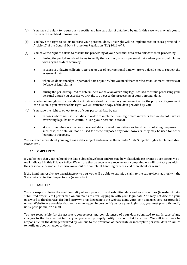- (a) You have the right to request us to rectify any inaccuracies of data held by us. In this case, we may ask you to confirm the rectified information.
- (b) You have the right to ask us to erase your personal data. This right will be implemented in cases provided in Article 17 of the General Data Protection Regulation (EU) 2016/679.
- (c) You have the right to ask us to restrict the processing of your personal data or to object to their processing:
	- during the period required for us to verify the accuracy of your personal data when you submit claims with regard to data accuracy;
	- in cases of unlawful collection, storage or use of your personal data where you decide not to request the erasure of data;
	- when we do not need your personal data anymore, but you need them for the establishment, exercise or defence of legal claims;
	- during the period required to determine if we have an overriding legal basis to continue processing your personal data if you exercise your right to object to the processing of your personal data.
- (d) You have the right to the portability of data obtained by us under your consent or for the purpose of agreement conclusion. If you exercise this right, we will transfer a copy of the data provided by you.
- (e) You have the right to object to use of your personal data by us:
	- in cases where we use such data in order to implement our legitimate interests, but we do not have an overriding legal basis to continue using your personal data; or
	- at any time when we use your personal data to send newsletters or for direct marketing purposes. In such case, the data will not be used for these purposes anymore; however, they may be used for other legitimate purposes.

You can read more about your rights as a data subject and exercise them under "Data Subjects' Rights Implementation Procedure".

## <span id="page-17-0"></span>**15. COMPLAINTS**

If you believe that your rights of the data subject have been and/or may be violated, please promptly contact us via email indicated in this Privacy Policy. We ensure that as soon as we receive your complaint, we will contact you within the reasonable period and inform you about the complaint handling process, and then about its result.

If the handling results are unsatisfactory to you, you will be able to submit a claim to the supervisory authority – the State Data Protection Inspectorate (www.ada.lt).

#### <span id="page-17-1"></span>**16. LIABILITY**

You are responsible for the confidentiality of your password and submitted data and for any actions (transfer of data, submitted orders, etc.) performed on our Website after logging in with your login data. You may not disclose your password to third parties. If a third party who has logged in to the Website using your login data uses services provided on our Website, we consider that you are the logged in person. If you lose your login data, you must promptly notify us by post, phone, or e-mail.

You are responsible for the accuracy, correctness and completeness of your data submitted to us. In case of any changes to the data submitted by you, you must promptly notify us about that by e-mail. We will in no way be responsible for the damage incurred by you due to the provision of inaccurate or incomplete personal data or failure to notify us about changes to them.